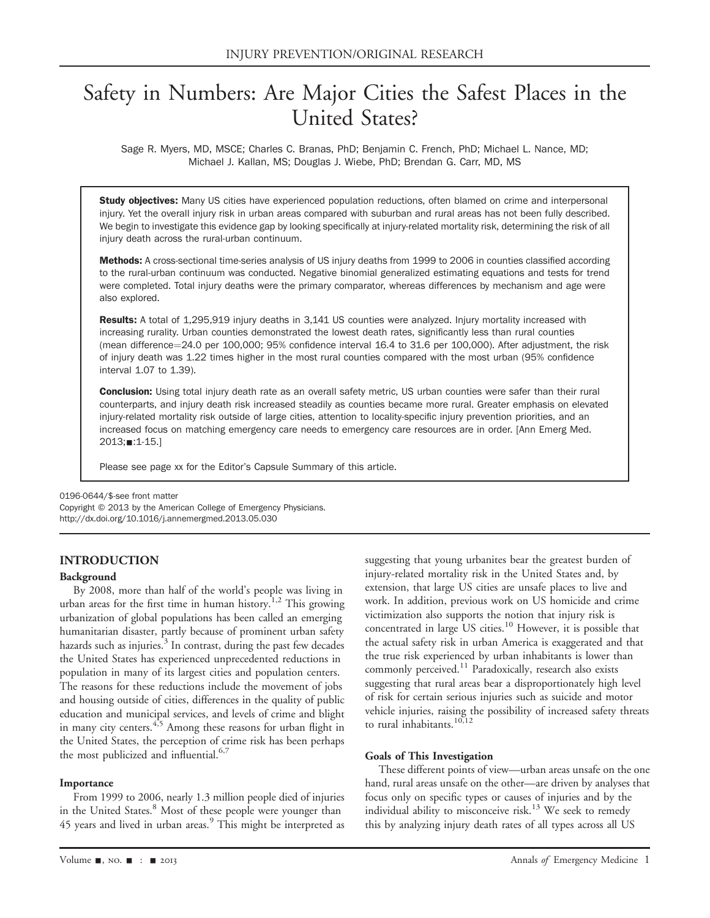# Safety in Numbers: Are Major Cities the Safest Places in the United States?

Sage R. Myers, MD, MSCE; Charles C. Branas, PhD; Benjamin C. French, PhD; Michael L. Nance, MD; Michael J. Kallan, MS; Douglas J. Wiebe, PhD; Brendan G. Carr, MD, MS

Study objectives: Many US cities have experienced population reductions, often blamed on crime and interpersonal injury. Yet the overall injury risk in urban areas compared with suburban and rural areas has not been fully described. We begin to investigate this evidence gap by looking specifically at injury-related mortality risk, determining the risk of all injury death across the rural-urban continuum.

Methods: A cross-sectional time-series analysis of US injury deaths from 1999 to 2006 in counties classified according to the rural-urban continuum was conducted. Negative binomial generalized estimating equations and tests for trend were completed. Total injury deaths were the primary comparator, whereas differences by mechanism and age were also explored.

Results: A total of 1,295,919 injury deaths in 3,141 US counties were analyzed. Injury mortality increased with increasing rurality. Urban counties demonstrated the lowest death rates, significantly less than rural counties (mean difference=24.0 per 100,000; 95% confidence interval 16.4 to 31.6 per 100,000). After adjustment, the risk of injury death was 1.22 times higher in the most rural counties compared with the most urban (95% confidence interval 1.07 to 1.39).

**Conclusion:** Using total injury death rate as an overall safety metric, US urban counties were safer than their rural counterparts, and injury death risk increased steadily as counties became more rural. Greater emphasis on elevated injury-related mortality risk outside of large cities, attention to locality-specific injury prevention priorities, and an increased focus on matching emergency care needs to emergency care resources are in order. [Ann Emerg Med. 2013;<sub>■</sub>:1-15.]

Please see page xx for the Editor's Capsule Summary of this article.

0196-0644/\$-see front matter

Copyright © 2013 by the American College of Emergency Physicians. http://dx.doi.org/10.1016/j.annemergmed.2013.05.030

# INTRODUCTION

## Background

By 2008, more than half of the world's people was living in urban areas for the first time in human history.<sup>1,2</sup> This growing urbanization of global populations has been called an emerging humanitarian disaster, partly because of prominent urban safety hazards such as injuries.<sup>3</sup> In contrast, during the past few decades the United States has experienced unprecedented reductions in population in many of its largest cities and population centers. The reasons for these reductions include the movement of jobs and housing outside of cities, differences in the quality of public education and municipal services, and levels of crime and blight in many city centers.<sup>4,5</sup> Among these reasons for urban flight in the United States, the perception of crime risk has been perhaps the most publicized and influential.<sup>6,7</sup>

## Importance

From 1999 to 2006, nearly 1.3 million people died of injuries in the United States.<sup>8</sup> Most of these people were younger than 45 years and lived in urban areas.<sup>9</sup> This might be interpreted as suggesting that young urbanites bear the greatest burden of injury-related mortality risk in the United States and, by extension, that large US cities are unsafe places to live and work. In addition, previous work on US homicide and crime victimization also supports the notion that injury risk is concentrated in large US cities.<sup>10</sup> However, it is possible that the actual safety risk in urban America is exaggerated and that the true risk experienced by urban inhabitants is lower than commonly perceived.<sup>11</sup> Paradoxically, research also exists suggesting that rural areas bear a disproportionately high level of risk for certain serious injuries such as suicide and motor vehicle injuries, raising the possibility of increased safety threats to rural inhabitants.<sup>10,12</sup>

## Goals of This Investigation

These different points of view—urban areas unsafe on the one hand, rural areas unsafe on the other—are driven by analyses that focus only on specific types or causes of injuries and by the individual ability to misconceive risk.<sup>13</sup> We seek to remedy this by analyzing injury death rates of all types across all US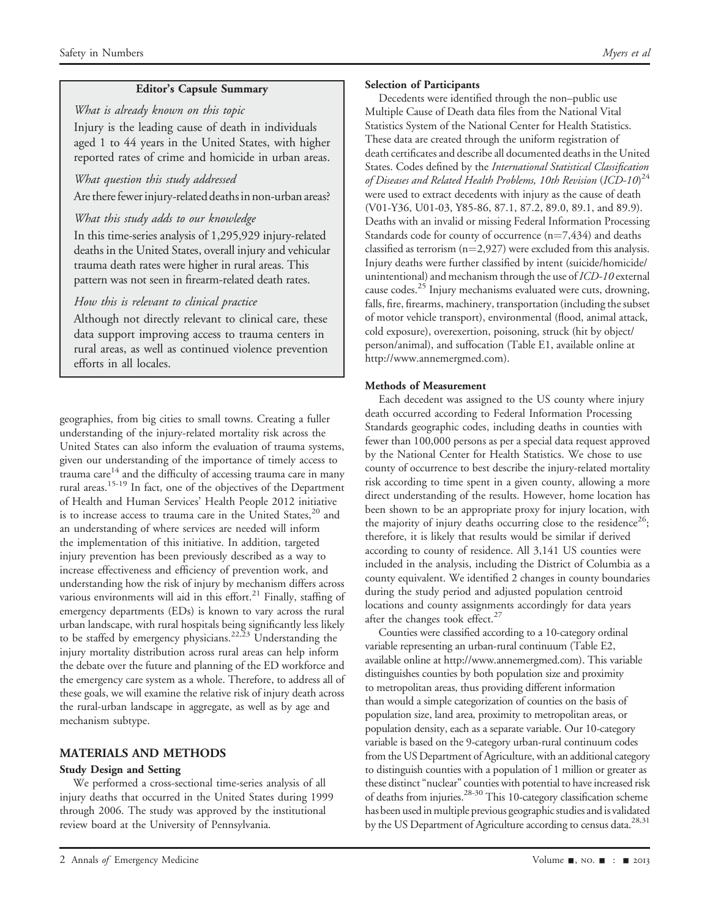## Editor's Capsule Summary

What is already known on this topic Injury is the leading cause of death in individuals aged 1 to 44 years in the United States, with higher reported rates of crime and homicide in urban areas.

# What question this study addressed

Are there fewer injury-related deaths in non-urban areas?

# What this study adds to our knowledge

In this time-series analysis of 1,295,929 injury-related deaths in the United States, overall injury and vehicular trauma death rates were higher in rural areas. This pattern was not seen in firearm-related death rates.

# How this is relevant to clinical practice

Although not directly relevant to clinical care, these data support improving access to trauma centers in rural areas, as well as continued violence prevention efforts in all locales.

geographies, from big cities to small towns. Creating a fuller understanding of the injury-related mortality risk across the United States can also inform the evaluation of trauma systems, given our understanding of the importance of timely access to trauma care<sup>14</sup> and the difficulty of accessing trauma care in many rural areas.15-19 In fact, one of the objectives of the Department of Health and Human Services' Health People 2012 initiative is to increase access to trauma care in the United States, $20$  and an understanding of where services are needed will inform the implementation of this initiative. In addition, targeted injury prevention has been previously described as a way to increase effectiveness and efficiency of prevention work, and understanding how the risk of injury by mechanism differs across various environments will aid in this effort. $^{21}$  Finally, staffing of emergency departments (EDs) is known to vary across the rural urban landscape, with rural hospitals being significantly less likely to be staffed by emergency physicians.<sup>22,23</sup> Understanding the injury mortality distribution across rural areas can help inform the debate over the future and planning of the ED workforce and the emergency care system as a whole. Therefore, to address all of these goals, we will examine the relative risk of injury death across the rural-urban landscape in aggregate, as well as by age and mechanism subtype.

## MATERIALS AND METHODS

## Study Design and Setting

We performed a cross-sectional time-series analysis of all injury deaths that occurred in the United States during 1999 through 2006. The study was approved by the institutional review board at the University of Pennsylvania.

## Selection of Participants

Decedents were identified through the non–public use Multiple Cause of Death data files from the National Vital Statistics System of the National Center for Health Statistics. These data are created through the uniform registration of death certificates and describe all documented deaths in the United States. Codes defined by the International Statistical Classification of Diseases and Related Health Problems, 10th Revision (ICD-10) $^{24}$ were used to extract decedents with injury as the cause of death (V01-Y36, U01-03, Y85-86, 87.1, 87.2, 89.0, 89.1, and 89.9). Deaths with an invalid or missing Federal Information Processing Standards code for county of occurrence  $(n=7,434)$  and deaths classified as terrorism  $(n=2,927)$  were excluded from this analysis. Injury deaths were further classified by intent (suicide/homicide/ unintentional) and mechanism through the use of ICD-10 external cause codes.<sup>25</sup> Injury mechanisms evaluated were cuts, drowning, falls, fire, firearms, machinery, transportation (including the subset of motor vehicle transport), environmental (flood, animal attack, cold exposure), overexertion, poisoning, struck (hit by object/ person/animal), and suffocation (Table E1, available online at http://www.annemergmed.com).

## Methods of Measurement

Each decedent was assigned to the US county where injury death occurred according to Federal Information Processing Standards geographic codes, including deaths in counties with fewer than 100,000 persons as per a special data request approved by the National Center for Health Statistics. We chose to use county of occurrence to best describe the injury-related mortality risk according to time spent in a given county, allowing a more direct understanding of the results. However, home location has been shown to be an appropriate proxy for injury location, with the majority of injury deaths occurring close to the residence<sup>26</sup>; therefore, it is likely that results would be similar if derived according to county of residence. All 3,141 US counties were included in the analysis, including the District of Columbia as a county equivalent. We identified 2 changes in county boundaries during the study period and adjusted population centroid locations and county assignments accordingly for data years after the changes took effect.<sup>27</sup>

Counties were classified according to a 10-category ordinal variable representing an urban-rural continuum (Table E2, available online at http://www.annemergmed.com). This variable distinguishes counties by both population size and proximity to metropolitan areas, thus providing different information than would a simple categorization of counties on the basis of population size, land area, proximity to metropolitan areas, or population density, each as a separate variable. Our 10-category variable is based on the 9-category urban-rural continuum codes from the US Department of Agriculture, with an additional category to distinguish counties with a population of 1 million or greater as these distinct "nuclear" counties with potential to have increased risk of deaths from injuries.28-30 This 10-category classification scheme has been used in multiple previous geographic studies and is validated by the US Department of Agriculture according to census data.<sup>28,31</sup>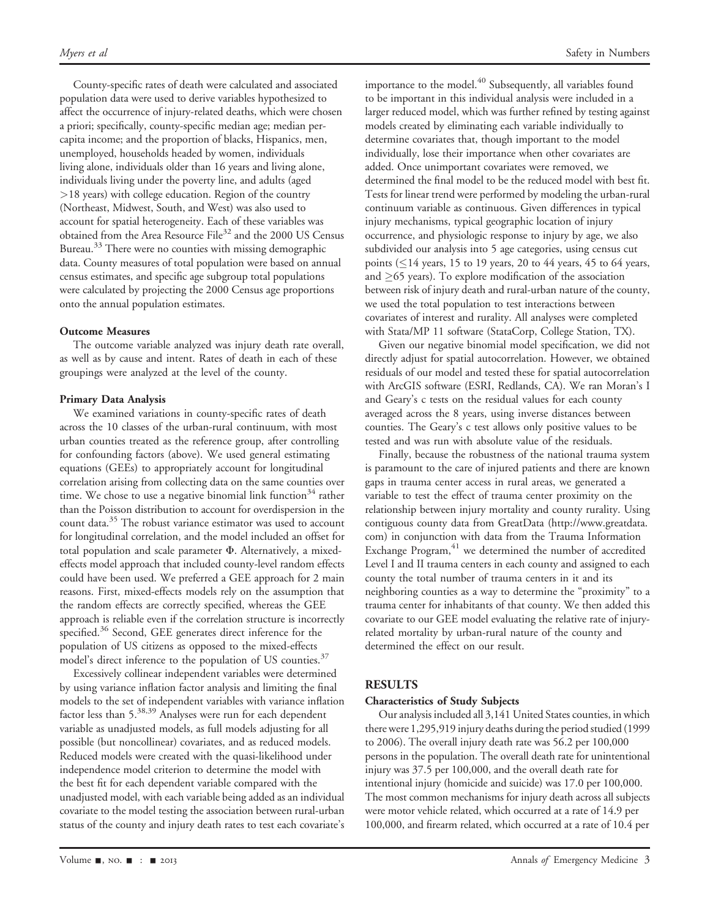County-specific rates of death were calculated and associated population data were used to derive variables hypothesized to affect the occurrence of injury-related deaths, which were chosen a priori; specifically, county-specific median age; median percapita income; and the proportion of blacks, Hispanics, men, unemployed, households headed by women, individuals living alone, individuals older than 16 years and living alone, individuals living under the poverty line, and adults (aged >18 years) with college education. Region of the country (Northeast, Midwest, South, and West) was also used to account for spatial heterogeneity. Each of these variables was obtained from the Area Resource File<sup>32</sup> and the 2000 US Census Bureau.<sup>33</sup> There were no counties with missing demographic data. County measures of total population were based on annual census estimates, and specific age subgroup total populations were calculated by projecting the 2000 Census age proportions onto the annual population estimates.

## Outcome Measures

The outcome variable analyzed was injury death rate overall, as well as by cause and intent. Rates of death in each of these groupings were analyzed at the level of the county.

#### Primary Data Analysis

We examined variations in county-specific rates of death across the 10 classes of the urban-rural continuum, with most urban counties treated as the reference group, after controlling for confounding factors (above). We used general estimating equations (GEEs) to appropriately account for longitudinal correlation arising from collecting data on the same counties over time. We chose to use a negative binomial link function<sup>34</sup> rather than the Poisson distribution to account for overdispersion in the count data.<sup>35</sup> The robust variance estimator was used to account for longitudinal correlation, and the model included an offset for total population and scale parameter  $\Phi$ . Alternatively, a mixedeffects model approach that included county-level random effects could have been used. We preferred a GEE approach for 2 main reasons. First, mixed-effects models rely on the assumption that the random effects are correctly specified, whereas the GEE approach is reliable even if the correlation structure is incorrectly specified.<sup>36</sup> Second, GEE generates direct inference for the population of US citizens as opposed to the mixed-effects model's direct inference to the population of US counties.<sup>37</sup>

Excessively collinear independent variables were determined by using variance inflation factor analysis and limiting the final models to the set of independent variables with variance inflation factor less than 5.<sup>38,39</sup> Analyses were run for each dependent variable as unadjusted models, as full models adjusting for all possible (but noncollinear) covariates, and as reduced models. Reduced models were created with the quasi-likelihood under independence model criterion to determine the model with the best fit for each dependent variable compared with the unadjusted model, with each variable being added as an individual covariate to the model testing the association between rural-urban status of the county and injury death rates to test each covariate's

importance to the model.<sup>40</sup> Subsequently, all variables found to be important in this individual analysis were included in a larger reduced model, which was further refined by testing against models created by eliminating each variable individually to determine covariates that, though important to the model individually, lose their importance when other covariates are added. Once unimportant covariates were removed, we determined the final model to be the reduced model with best fit. Tests for linear trend were performed by modeling the urban-rural continuum variable as continuous. Given differences in typical injury mechanisms, typical geographic location of injury occurrence, and physiologic response to injury by age, we also subdivided our analysis into 5 age categories, using census cut points  $( \leq 14 \text{ years}, 15 \text{ to } 19 \text{ years}, 20 \text{ to } 44 \text{ years}, 45 \text{ to } 64 \text{ years},$ and  $\geq$  65 years). To explore modification of the association between risk of injury death and rural-urban nature of the county, we used the total population to test interactions between covariates of interest and rurality. All analyses were completed with Stata/MP 11 software (StataCorp, College Station, TX).

Given our negative binomial model specification, we did not directly adjust for spatial autocorrelation. However, we obtained residuals of our model and tested these for spatial autocorrelation with ArcGIS software (ESRI, Redlands, CA). We ran Moran's I and Geary's c tests on the residual values for each county averaged across the 8 years, using inverse distances between counties. The Geary's c test allows only positive values to be tested and was run with absolute value of the residuals.

Finally, because the robustness of the national trauma system is paramount to the care of injured patients and there are known gaps in trauma center access in rural areas, we generated a variable to test the effect of trauma center proximity on the relationship between injury mortality and county rurality. Using contiguous county data from GreatData (http://www.greatdata. com) in conjunction with data from the Trauma Information Exchange  $P$ rogram, $41$  we determined the number of accredited Level I and II trauma centers in each county and assigned to each county the total number of trauma centers in it and its neighboring counties as a way to determine the "proximity" to a trauma center for inhabitants of that county. We then added this covariate to our GEE model evaluating the relative rate of injuryrelated mortality by urban-rural nature of the county and determined the effect on our result.

#### RESULTS

#### Characteristics of Study Subjects

Our analysis included all 3,141 United States counties, in which there were 1,295,919 injury deaths during the period studied (1999 to 2006). The overall injury death rate was 56.2 per 100,000 persons in the population. The overall death rate for unintentional injury was 37.5 per 100,000, and the overall death rate for intentional injury (homicide and suicide) was 17.0 per 100,000. The most common mechanisms for injury death across all subjects were motor vehicle related, which occurred at a rate of 14.9 per 100,000, and firearm related, which occurred at a rate of 10.4 per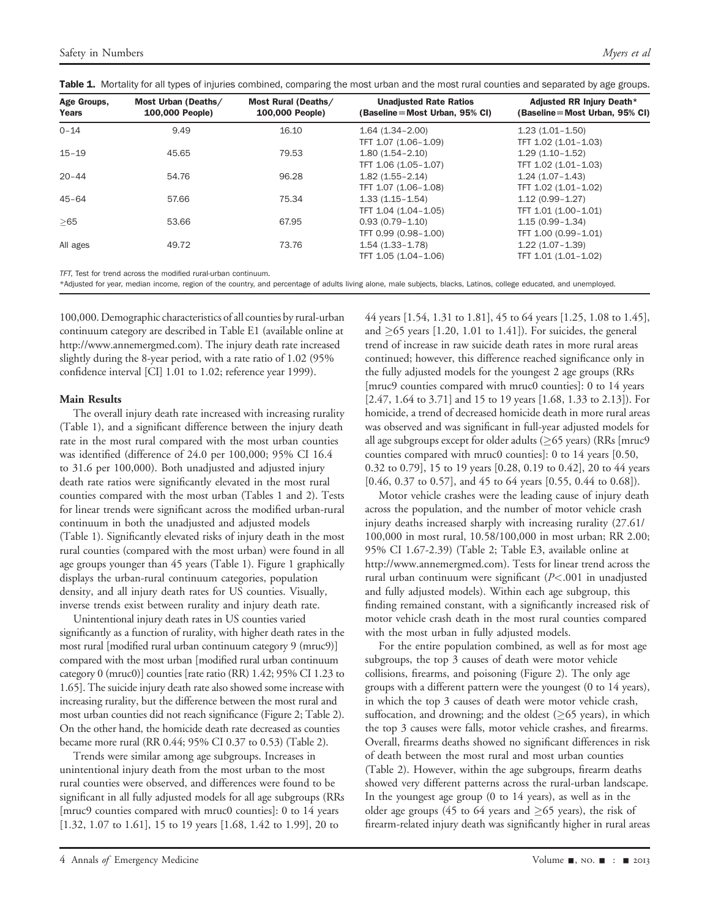|  | Table 1. Mortality for all types of injuries combined, comparing the most urban and the most rural counties and separated by age groups. |  |  |
|--|------------------------------------------------------------------------------------------------------------------------------------------|--|--|
|  |                                                                                                                                          |  |  |

| Age Groups,<br>Years | Most Urban (Deaths/<br>100,000 People) | Most Rural (Deaths/<br>100,000 People) | <b>Unadjusted Rate Ratios</b><br>(Baseline = Most Urban, 95% CI) | Adjusted RR Injury Death*<br>(Baseline=Most Urban, 95% CI) |  |
|----------------------|----------------------------------------|----------------------------------------|------------------------------------------------------------------|------------------------------------------------------------|--|
| $0 - 14$             | 9.49                                   | 16.10                                  | $1.64(1.34 - 2.00)$                                              | $1.23(1.01 - 1.50)$                                        |  |
|                      |                                        |                                        | TFT 1.07 (1.06-1.09)                                             | TFT 1.02 (1.01-1.03)                                       |  |
| $15 - 19$            | 45.65                                  | 79.53                                  | $1.80(1.54 - 2.10)$                                              | $1.29(1.10-1.52)$                                          |  |
|                      |                                        |                                        | TFT 1.06 (1.05-1.07)                                             | TFT 1.02 (1.01-1.03)                                       |  |
| $20 - 44$            | 54.76                                  | 96.28                                  | $1.82(1.55 - 2.14)$                                              | $1.24(1.07 - 1.43)$                                        |  |
|                      |                                        |                                        | TFT 1.07 (1.06-1.08)                                             | TFT 1.02 (1.01-1.02)                                       |  |
| $45 - 64$            | 57.66                                  | 75.34                                  | $1.33(1.15-1.54)$                                                | $1.12(0.99 - 1.27)$                                        |  |
|                      |                                        |                                        | TFT 1.04 (1.04-1.05)                                             | TFT 1.01 (1.00-1.01)                                       |  |
| >65                  | 53.66                                  | 67.95                                  | $0.93(0.79 - 1.10)$                                              | $1.15(0.99 - 1.34)$                                        |  |
|                      |                                        |                                        | TFT 0.99 (0.98-1.00)                                             | TFT 1.00 (0.99-1.01)                                       |  |
| All ages             | 49.72                                  | 73.76                                  | $1.54(1.33 - 1.78)$                                              | $1.22(1.07 - 1.39)$                                        |  |
|                      |                                        |                                        | TFT 1.05 (1.04-1.06)                                             | TFT 1.01 (1.01-1.02)                                       |  |

TFT, Test for trend across the modified rural-urban continuum.

\*Adjusted for year, median income, region of the country, and percentage of adults living alone, male subjects, blacks, Latinos, college educated, and unemployed.

100,000. Demographic characteristics of all counties by rural-urban continuum category are described in Table E1 (available online at http://www.annemergmed.com). The injury death rate increased slightly during the 8-year period, with a rate ratio of 1.02 (95% confidence interval [CI] 1.01 to 1.02; reference year 1999).

#### Main Results

The overall injury death rate increased with increasing rurality (Table 1), and a significant difference between the injury death rate in the most rural compared with the most urban counties was identified (difference of 24.0 per 100,000; 95% CI 16.4 to 31.6 per 100,000). Both unadjusted and adjusted injury death rate ratios were significantly elevated in the most rural counties compared with the most urban (Tables 1 and 2). Tests for linear trends were significant across the modified urban-rural continuum in both the unadjusted and adjusted models (Table 1). Significantly elevated risks of injury death in the most rural counties (compared with the most urban) were found in all age groups younger than 45 years (Table 1). Figure 1 graphically displays the urban-rural continuum categories, population density, and all injury death rates for US counties. Visually, inverse trends exist between rurality and injury death rate.

Unintentional injury death rates in US counties varied significantly as a function of rurality, with higher death rates in the most rural [modified rural urban continuum category 9 (mruc9)] compared with the most urban [modified rural urban continuum category 0 (mruc0)] counties [rate ratio (RR) 1.42; 95% CI 1.23 to 1.65]. The suicide injury death rate also showed some increase with increasing rurality, but the difference between the most rural and most urban counties did not reach significance (Figure 2; Table 2). On the other hand, the homicide death rate decreased as counties became more rural (RR 0.44; 95% CI 0.37 to 0.53) (Table 2).

Trends were similar among age subgroups. Increases in unintentional injury death from the most urban to the most rural counties were observed, and differences were found to be significant in all fully adjusted models for all age subgroups (RRs [mruc9 counties compared with mruc0 counties]: 0 to 14 years [1.32, 1.07 to 1.61], 15 to 19 years [1.68, 1.42 to 1.99], 20 to

44 years [1.54, 1.31 to 1.81], 45 to 64 years [1.25, 1.08 to 1.45], and  $\geq$  65 years [1.20, 1.01 to 1.41]). For suicides, the general trend of increase in raw suicide death rates in more rural areas continued; however, this difference reached significance only in the fully adjusted models for the youngest 2 age groups (RRs [mruc9 counties compared with mruc0 counties]: 0 to 14 years [2.47, 1.64 to 3.71] and 15 to 19 years [1.68, 1.33 to 2.13]). For homicide, a trend of decreased homicide death in more rural areas was observed and was significant in full-year adjusted models for all age subgroups except for older adults ( $\geq$ 65 years) (RRs [mruc9 counties compared with mruc0 counties]: 0 to 14 years [0.50, 0.32 to 0.79], 15 to 19 years [0.28, 0.19 to 0.42], 20 to 44 years [0.46, 0.37 to 0.57], and 45 to 64 years [0.55, 0.44 to 0.68]).

Motor vehicle crashes were the leading cause of injury death across the population, and the number of motor vehicle crash injury deaths increased sharply with increasing rurality (27.61/ 100,000 in most rural, 10.58/100,000 in most urban; RR 2.00; 95% CI 1.67-2.39) (Table 2; Table E3, available online at http://www.annemergmed.com). Tests for linear trend across the rural urban continuum were significant (P<.001 in unadjusted and fully adjusted models). Within each age subgroup, this finding remained constant, with a significantly increased risk of motor vehicle crash death in the most rural counties compared with the most urban in fully adjusted models.

For the entire population combined, as well as for most age subgroups, the top 3 causes of death were motor vehicle collisions, firearms, and poisoning (Figure 2). The only age groups with a different pattern were the youngest (0 to 14 years), in which the top 3 causes of death were motor vehicle crash, suffocation, and drowning; and the oldest  $(\geq 65$  years), in which the top 3 causes were falls, motor vehicle crashes, and firearms. Overall, firearms deaths showed no significant differences in risk of death between the most rural and most urban counties (Table 2). However, within the age subgroups, firearm deaths showed very different patterns across the rural-urban landscape. In the youngest age group (0 to 14 years), as well as in the older age groups (45 to 64 years and  $\geq$  65 years), the risk of firearm-related injury death was significantly higher in rural areas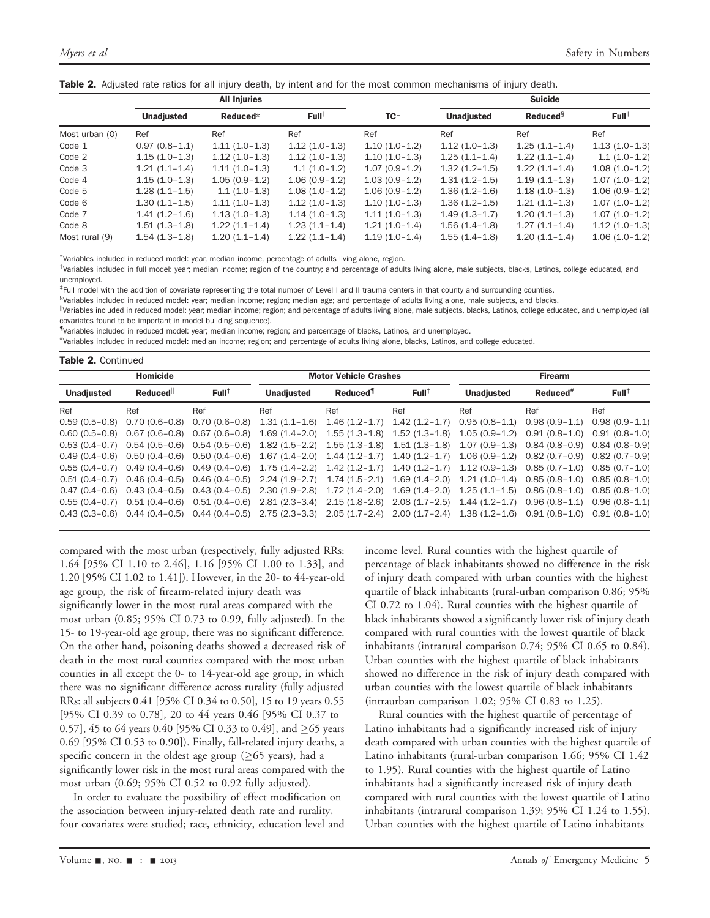Table 2. Continued

|  |  |  |  |  | Table 2. Adjusted rate ratios for all injury death, by intent and for the most common mechanisms of injury death. |  |  |  |  |
|--|--|--|--|--|-------------------------------------------------------------------------------------------------------------------|--|--|--|--|
|--|--|--|--|--|-------------------------------------------------------------------------------------------------------------------|--|--|--|--|

|                | <b>All Injuries</b> |                 |                   |                 | <b>Suicide</b>    |                         |                   |  |
|----------------|---------------------|-----------------|-------------------|-----------------|-------------------|-------------------------|-------------------|--|
|                | <b>Unadjusted</b>   | $Reduceed*$     | Full <sup>†</sup> | $TC^{\ddagger}$ | <b>Unadjusted</b> | $\mathbf{Reduced}^{\S}$ | Full <sup>†</sup> |  |
| Most urban (0) | Ref                 | Ref             | Ref               | Ref             | Ref               | Ref                     | Ref               |  |
| Code 1         | $0.97(0.8-1.1)$     | $1.11(1.0-1.3)$ | $1.12(1.0-1.3)$   | $1.10(1.0-1.2)$ | $1.12(1.0-1.3)$   | $1.25(1.1-1.4)$         | $1.13(1.0-1.3)$   |  |
| Code 2         | $1.15(1.0-1.3)$     | $1.12(1.0-1.3)$ | $1.12(1.0-1.3)$   | $1.10(1.0-1.3)$ | $1.25(1.1-1.4)$   | $1.22(1.1-1.4)$         | $1.1(1.0-1.2)$    |  |
| Code 3         | $1.21(1.1-1.4)$     | $1.11(1.0-1.3)$ | $1.1(1.0-1.2)$    | $1.07(0.9-1.2)$ | $1.32(1.2 - 1.5)$ | $1.22(1.1-1.4)$         | $1.08(1.0-1.2)$   |  |
| Code 4         | $1.15(1.0-1.3)$     | $1.05(0.9-1.2)$ | $1.06(0.9-1.2)$   | $1.03(0.9-1.2)$ | $1.31(1.2 - 1.5)$ | $1.19(1.1-1.3)$         | $1.07(1.0-1.2)$   |  |
| Code 5         | $1.28(1.1-1.5)$     | $1.1(1.0-1.3)$  | $1.08(1.0-1.2)$   | $1.06(0.9-1.2)$ | $1.36(1.2 - 1.6)$ | $1.18(1.0-1.3)$         | $1.06(0.9-1.2)$   |  |
| Code 6         | $1.30(1.1-1.5)$     | $1.11(1.0-1.3)$ | $1.12(1.0-1.3)$   | $1.10(1.0-1.3)$ | $1.36(1.2 - 1.5)$ | $1.21(1.1-1.3)$         | $1.07(1.0-1.2)$   |  |
| Code 7         | $1.41(1.2 - 1.6)$   | $1.13(1.0-1.3)$ | $1.14(1.0-1.3)$   | $1.11(1.0-1.3)$ | $1.49(1.3-1.7)$   | $1.20(1.1-1.3)$         | $1.07(1.0-1.2)$   |  |
| Code 8         | $1.51(1.3-1.8)$     | $1.22(1.1-1.4)$ | $1.23(1.1-1.4)$   | $1.21(1.0-1.4)$ | $1.56(1.4-1.8)$   | $1.27(1.1-1.4)$         | $1.12(1.0-1.3)$   |  |
| Most rural (9) | $1.54(1.3-1.8)$     | $1.20(1.1-1.4)$ | $1.22(1.1-1.4)$   | $1.19(1.0-1.4)$ | $1.55(1.4-1.8)$   | $1.20(1.1-1.4)$         | $1.06(1.0-1.2)$   |  |

\* Variables included in reduced model: year, median income, percentage of adults living alone, region.

<sup>†</sup>Variables included in full model: year; median income; region of the country; and percentage of adults living alone, male subjects, blacks, Latinos, college educated, and unemployed.

‡ Full model with the addition of covariate representing the total number of Level I and II trauma centers in that county and surrounding counties.

§ Variables included in reduced model: year; median income; region; median age; and percentage of adults living alone, male subjects, and blacks.

<sup>ll</sup>yariables included in reduced model: year; median income; region; and percentage of adults living alone, male subjects, blacks, Latinos, college educated, and unemployed (all covariates found to be important in model building sequence).

{ Variables included in reduced model: year; median income; region; and percentage of blacks, Latinos, and unemployed.

# Variables included in reduced model: median income; region; and percentage of adults living alone, blacks, Latinos, and college educated.

| <b>Homicide</b>   |                                  |                                                                                                                                                 | <b>Motor Vehicle Crashes</b>                                                    |                                 |                                 | <b>Firearm</b>                                  |                                 |                   |
|-------------------|----------------------------------|-------------------------------------------------------------------------------------------------------------------------------------------------|---------------------------------------------------------------------------------|---------------------------------|---------------------------------|-------------------------------------------------|---------------------------------|-------------------|
| <b>Unadjusted</b> | <b>Reduced</b>                   | Full <sup>†</sup>                                                                                                                               | <b>Unadjusted</b>                                                               | Reduced <sup>1</sup>            | Full <sup>†</sup>               | <b>Unadjusted</b>                               | $Reduced^*$                     | Full <sup>†</sup> |
| Ref               | Ref                              | Ref                                                                                                                                             | Ref                                                                             | Ref                             | Ref                             | Ref                                             | Ref                             | Ref               |
| $0.59(0.5-0.8)$   | $0.70(0.6-0.8)$                  | $0.70(0.6-0.8)$                                                                                                                                 | $1.31(1.1-1.6)$                                                                 |                                 | $1.46(1.2-1.7)$ $1.42(1.2-1.7)$ | $0.95(0.8-1.1)$                                 | $0.98(0.9-1.1)$                 | $0.98(0.9-1.1)$   |
|                   | $0.60(0.5-0.8)$ $0.67(0.6-0.8)$  |                                                                                                                                                 | $0.67(0.6-0.8)$ 1.69 $(1.4-2.0)$                                                | $1.55(1.3-1.8)$ $1.52(1.3-1.8)$ |                                 | $1.05(0.9-1.2)$                                 | $0.91(0.8-1.0)$                 | $0.91(0.8-1.0)$   |
|                   | $0.53(0.4-0.7)$ $0.54(0.5-0.6)$  |                                                                                                                                                 | $0.54(0.5-0.6)$ 1.82 (1.5-2.2) 1.55 (1.3-1.8) 1.51 (1.3-1.8)                    |                                 |                                 | $1.07(0.9-1.3)$ $0.84(0.8-0.9)$ $0.84(0.8-0.9)$ |                                 |                   |
|                   | $0.49(0.4-0.6)$ $0.50(0.4-0.6)$  |                                                                                                                                                 | $0.50(0.4-0.6)$ 1.67 (1.4-2.0) 1.44 (1.2-1.7) 1.40 (1.2-1.7) 1.06 (0.9-1.2)     |                                 |                                 |                                                 | $0.82(0.7-0.9)$ 0.82 (0.7-0.9)  |                   |
|                   | $0.55(0.4-0.7)$ $0.49(0.4-0.6)$  | $0.49(0.4-0.6)$ 1.75 (1.4-2.2) 1.42 (1.2-1.7) 1.40 (1.2-1.7) 1.12 (0.9-1.3) 0.85 (0.7-1.0) 0.85 (0.7-1.0)                                       |                                                                                 |                                 |                                 |                                                 |                                 |                   |
|                   | $0.51(0.4-0.7)$ 0.46 $(0.4-0.5)$ |                                                                                                                                                 | $0.46(0.4-0.5)$ $2.24(1.9-2.7)$ $1.74(1.5-2.1)$ $1.69(1.4-2.0)$ $1.21(1.0-1.4)$ |                                 |                                 |                                                 | $0.85(0.8-1.0)$ $0.85(0.8-1.0)$ |                   |
|                   | $0.47(0.4-0.6)$ 0.43 $(0.4-0.5)$ |                                                                                                                                                 | $0.43(0.4-0.5)$ $2.30(1.9-2.8)$ $1.72(1.4-2.0)$ $1.69(1.4-2.0)$ $1.25(1.1-1.5)$ |                                 |                                 |                                                 | $0.86(0.8-1.0)$ $0.85(0.8-1.0)$ |                   |
|                   | $0.55(0.4-0.7)$ $0.51(0.4-0.6)$  |                                                                                                                                                 | $0.51(0.4-0.6)$ $2.81(2.3-3.4)$ $2.15(1.8-2.6)$ $2.08(1.7-2.5)$ $1.44(1.2-1.7)$ |                                 |                                 |                                                 | $0.96(0.8-1.1)$                 | $0.96(0.8-1.1)$   |
|                   |                                  | $0.43(0.3-0.6)$ $0.44(0.4-0.5)$ $0.44(0.4-0.5)$ $2.75(2.3-3.3)$ $2.05(1.7-2.4)$ $2.00(1.7-2.4)$ $1.38(1.2-1.6)$ $0.91(0.8-1.0)$ $0.91(0.8-1.0)$ |                                                                                 |                                 |                                 |                                                 |                                 |                   |

compared with the most urban (respectively, fully adjusted RRs: 1.64 [95% CI 1.10 to 2.46], 1.16 [95% CI 1.00 to 1.33], and 1.20 [95% CI 1.02 to 1.41]). However, in the 20- to 44-year-old age group, the risk of firearm-related injury death was significantly lower in the most rural areas compared with the most urban (0.85; 95% CI 0.73 to 0.99, fully adjusted). In the 15- to 19-year-old age group, there was no significant difference. On the other hand, poisoning deaths showed a decreased risk of death in the most rural counties compared with the most urban counties in all except the 0- to 14-year-old age group, in which there was no significant difference across rurality (fully adjusted RRs: all subjects 0.41 [95% CI 0.34 to 0.50], 15 to 19 years 0.55 [95% CI 0.39 to 0.78], 20 to 44 years 0.46 [95% CI 0.37 to 0.57], 45 to 64 years 0.40 [95% CI 0.33 to 0.49], and  $\geq$  65 years 0.69 [95% CI 0.53 to 0.90]). Finally, fall-related injury deaths, a specific concern in the oldest age group ( $\geq$ 65 years), had a significantly lower risk in the most rural areas compared with the most urban (0.69; 95% CI 0.52 to 0.92 fully adjusted).

In order to evaluate the possibility of effect modification on the association between injury-related death rate and rurality, four covariates were studied; race, ethnicity, education level and income level. Rural counties with the highest quartile of percentage of black inhabitants showed no difference in the risk of injury death compared with urban counties with the highest quartile of black inhabitants (rural-urban comparison 0.86; 95% CI 0.72 to 1.04). Rural counties with the highest quartile of black inhabitants showed a significantly lower risk of injury death compared with rural counties with the lowest quartile of black inhabitants (intrarural comparison 0.74; 95% CI 0.65 to 0.84). Urban counties with the highest quartile of black inhabitants showed no difference in the risk of injury death compared with urban counties with the lowest quartile of black inhabitants (intraurban comparison 1.02; 95% CI 0.83 to 1.25).

Rural counties with the highest quartile of percentage of Latino inhabitants had a significantly increased risk of injury death compared with urban counties with the highest quartile of Latino inhabitants (rural-urban comparison 1.66; 95% CI 1.42 to 1.95). Rural counties with the highest quartile of Latino inhabitants had a significantly increased risk of injury death compared with rural counties with the lowest quartile of Latino inhabitants (intrarural comparison 1.39; 95% CI 1.24 to 1.55). Urban counties with the highest quartile of Latino inhabitants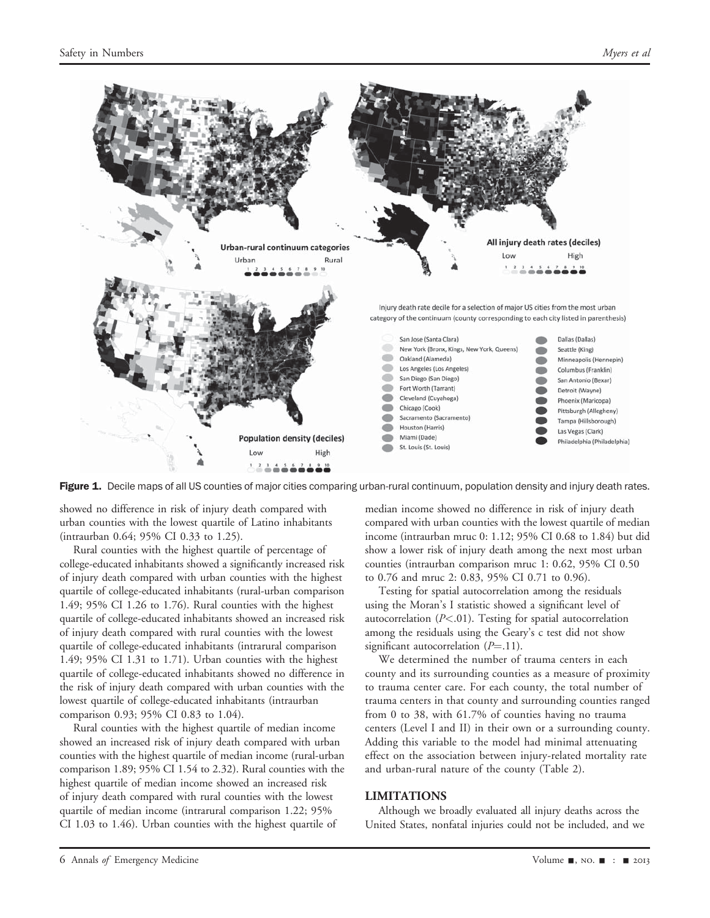

Figure 1. Decile maps of all US counties of major cities comparing urban-rural continuum, population density and injury death rates.

showed no difference in risk of injury death compared with urban counties with the lowest quartile of Latino inhabitants (intraurban 0.64; 95% CI 0.33 to 1.25).

Rural counties with the highest quartile of percentage of college-educated inhabitants showed a significantly increased risk of injury death compared with urban counties with the highest quartile of college-educated inhabitants (rural-urban comparison 1.49; 95% CI 1.26 to 1.76). Rural counties with the highest quartile of college-educated inhabitants showed an increased risk of injury death compared with rural counties with the lowest quartile of college-educated inhabitants (intrarural comparison 1.49; 95% CI 1.31 to 1.71). Urban counties with the highest quartile of college-educated inhabitants showed no difference in the risk of injury death compared with urban counties with the lowest quartile of college-educated inhabitants (intraurban comparison 0.93; 95% CI 0.83 to 1.04).

Rural counties with the highest quartile of median income showed an increased risk of injury death compared with urban counties with the highest quartile of median income (rural-urban comparison 1.89; 95% CI 1.54 to 2.32). Rural counties with the highest quartile of median income showed an increased risk of injury death compared with rural counties with the lowest quartile of median income (intrarural comparison 1.22; 95% CI 1.03 to 1.46). Urban counties with the highest quartile of

median income showed no difference in risk of injury death compared with urban counties with the lowest quartile of median income (intraurban mruc 0: 1.12; 95% CI 0.68 to 1.84) but did show a lower risk of injury death among the next most urban counties (intraurban comparison mruc 1: 0.62, 95% CI 0.50 to 0.76 and mruc 2: 0.83, 95% CI 0.71 to 0.96).

Testing for spatial autocorrelation among the residuals using the Moran's I statistic showed a significant level of autocorrelation  $(P<.01)$ . Testing for spatial autocorrelation among the residuals using the Geary's c test did not show significant autocorrelation  $(P=11)$ .

We determined the number of trauma centers in each county and its surrounding counties as a measure of proximity to trauma center care. For each county, the total number of trauma centers in that county and surrounding counties ranged from 0 to 38, with 61.7% of counties having no trauma centers (Level I and II) in their own or a surrounding county. Adding this variable to the model had minimal attenuating effect on the association between injury-related mortality rate and urban-rural nature of the county (Table 2).

## LIMITATIONS

Although we broadly evaluated all injury deaths across the United States, nonfatal injuries could not be included, and we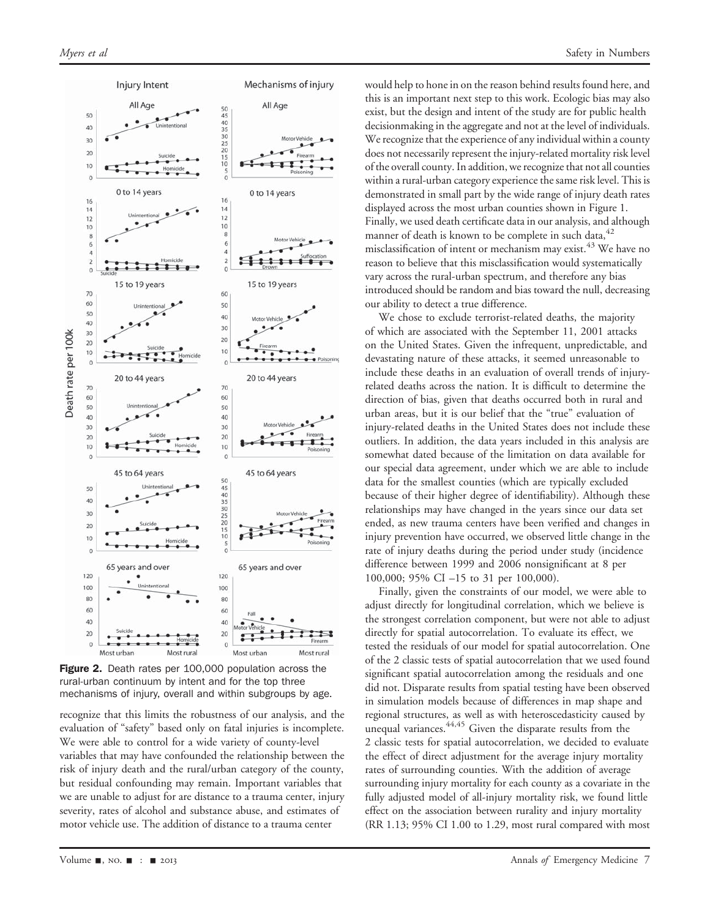

Figure 2. Death rates per 100,000 population across the rural-urban continuum by intent and for the top three mechanisms of injury, overall and within subgroups by age.

recognize that this limits the robustness of our analysis, and the evaluation of "safety" based only on fatal injuries is incomplete. We were able to control for a wide variety of county-level variables that may have confounded the relationship between the risk of injury death and the rural/urban category of the county, but residual confounding may remain. Important variables that we are unable to adjust for are distance to a trauma center, injury severity, rates of alcohol and substance abuse, and estimates of motor vehicle use. The addition of distance to a trauma center

would help to hone in on the reason behind results found here, and this is an important next step to this work. Ecologic bias may also exist, but the design and intent of the study are for public health decisionmaking in the aggregate and not at the level of individuals. We recognize that the experience of any individual within a county does not necessarily represent the injury-related mortality risk level of the overall county. In addition, we recognize that not all counties within a rural-urban category experience the same risk level. This is demonstrated in small part by the wide range of injury death rates displayed across the most urban counties shown in Figure 1. Finally, we used death certificate data in our analysis, and although manner of death is known to be complete in such data, <sup>42</sup> misclassification of intent or mechanism may exist.<sup>43</sup> We have no reason to believe that this misclassification would systematically vary across the rural-urban spectrum, and therefore any bias introduced should be random and bias toward the null, decreasing our ability to detect a true difference.

We chose to exclude terrorist-related deaths, the majority of which are associated with the September 11, 2001 attacks on the United States. Given the infrequent, unpredictable, and devastating nature of these attacks, it seemed unreasonable to include these deaths in an evaluation of overall trends of injuryrelated deaths across the nation. It is difficult to determine the direction of bias, given that deaths occurred both in rural and urban areas, but it is our belief that the "true" evaluation of injury-related deaths in the United States does not include these outliers. In addition, the data years included in this analysis are somewhat dated because of the limitation on data available for our special data agreement, under which we are able to include data for the smallest counties (which are typically excluded because of their higher degree of identifiability). Although these relationships may have changed in the years since our data set ended, as new trauma centers have been verified and changes in injury prevention have occurred, we observed little change in the rate of injury deaths during the period under study (incidence difference between 1999 and 2006 nonsignificant at 8 per 100,000; 95% CI –15 to 31 per 100,000).

Finally, given the constraints of our model, we were able to adjust directly for longitudinal correlation, which we believe is the strongest correlation component, but were not able to adjust directly for spatial autocorrelation. To evaluate its effect, we tested the residuals of our model for spatial autocorrelation. One of the 2 classic tests of spatial autocorrelation that we used found significant spatial autocorrelation among the residuals and one did not. Disparate results from spatial testing have been observed in simulation models because of differences in map shape and regional structures, as well as with heteroscedasticity caused by unequal variances. $44,45$  Given the disparate results from the 2 classic tests for spatial autocorrelation, we decided to evaluate the effect of direct adjustment for the average injury mortality rates of surrounding counties. With the addition of average surrounding injury mortality for each county as a covariate in the fully adjusted model of all-injury mortality risk, we found little effect on the association between rurality and injury mortality (RR 1.13; 95% CI 1.00 to 1.29, most rural compared with most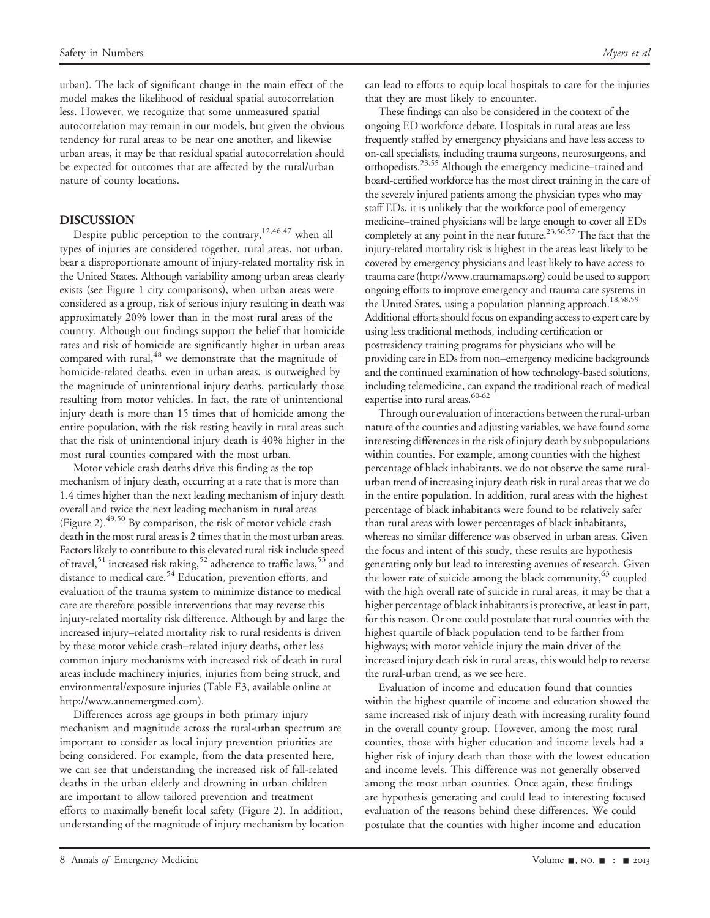urban). The lack of significant change in the main effect of the model makes the likelihood of residual spatial autocorrelation less. However, we recognize that some unmeasured spatial autocorrelation may remain in our models, but given the obvious tendency for rural areas to be near one another, and likewise urban areas, it may be that residual spatial autocorrelation should be expected for outcomes that are affected by the rural/urban nature of county locations.

## DISCUSSION

Despite public perception to the contrary,  $12,46,47$  when all types of injuries are considered together, rural areas, not urban, bear a disproportionate amount of injury-related mortality risk in the United States. Although variability among urban areas clearly exists (see Figure 1 city comparisons), when urban areas were considered as a group, risk of serious injury resulting in death was approximately 20% lower than in the most rural areas of the country. Although our findings support the belief that homicide rates and risk of homicide are significantly higher in urban areas compared with rural, $48$  we demonstrate that the magnitude of homicide-related deaths, even in urban areas, is outweighed by the magnitude of unintentional injury deaths, particularly those resulting from motor vehicles. In fact, the rate of unintentional injury death is more than 15 times that of homicide among the entire population, with the risk resting heavily in rural areas such that the risk of unintentional injury death is 40% higher in the most rural counties compared with the most urban.

Motor vehicle crash deaths drive this finding as the top mechanism of injury death, occurring at a rate that is more than 1.4 times higher than the next leading mechanism of injury death overall and twice the next leading mechanism in rural areas (Figure 2). $49,50$  By comparison, the risk of motor vehicle crash death in the most rural areas is 2 times that in the most urban areas. Factors likely to contribute to this elevated rural risk include speed of travel,<sup>51</sup> increased risk taking,<sup>52</sup> adherence to traffic laws,<sup>53</sup> and distance to medical care.<sup>54</sup> Education, prevention efforts, and evaluation of the trauma system to minimize distance to medical care are therefore possible interventions that may reverse this injury-related mortality risk difference. Although by and large the increased injury–related mortality risk to rural residents is driven by these motor vehicle crash–related injury deaths, other less common injury mechanisms with increased risk of death in rural areas include machinery injuries, injuries from being struck, and environmental/exposure injuries (Table E3, available online at http://www.annemergmed.com).

Differences across age groups in both primary injury mechanism and magnitude across the rural-urban spectrum are important to consider as local injury prevention priorities are being considered. For example, from the data presented here, we can see that understanding the increased risk of fall-related deaths in the urban elderly and drowning in urban children are important to allow tailored prevention and treatment efforts to maximally benefit local safety (Figure 2). In addition, understanding of the magnitude of injury mechanism by location can lead to efforts to equip local hospitals to care for the injuries that they are most likely to encounter.

These findings can also be considered in the context of the ongoing ED workforce debate. Hospitals in rural areas are less frequently staffed by emergency physicians and have less access to on-call specialists, including trauma surgeons, neurosurgeons, and orthopedists.23,55 Although the emergency medicine–trained and board-certified workforce has the most direct training in the care of the severely injured patients among the physician types who may staff EDs, it is unlikely that the workforce pool of emergency medicine–trained physicians will be large enough to cover all EDs completely at any point in the near future.<sup>23,56,57</sup> The fact that the injury-related mortality risk is highest in the areas least likely to be covered by emergency physicians and least likely to have access to trauma care (http://www.traumamaps.org) could be used to support ongoing efforts to improve emergency and trauma care systems in the United States, using a population planning approach.<sup>18,58,59</sup> Additional efforts should focus on expanding access to expert care by using less traditional methods, including certification or postresidency training programs for physicians who will be providing care in EDs from non–emergency medicine backgrounds and the continued examination of how technology-based solutions, including telemedicine, can expand the traditional reach of medical expertise into rural areas.<sup>60-62</sup>

Through our evaluation of interactions between the rural-urban nature of the counties and adjusting variables, we have found some interesting differences in the risk of injury death by subpopulations within counties. For example, among counties with the highest percentage of black inhabitants, we do not observe the same ruralurban trend of increasing injury death risk in rural areas that we do in the entire population. In addition, rural areas with the highest percentage of black inhabitants were found to be relatively safer than rural areas with lower percentages of black inhabitants, whereas no similar difference was observed in urban areas. Given the focus and intent of this study, these results are hypothesis generating only but lead to interesting avenues of research. Given the lower rate of suicide among the black community,<sup>63</sup> coupled with the high overall rate of suicide in rural areas, it may be that a higher percentage of black inhabitants is protective, at least in part, for this reason. Or one could postulate that rural counties with the highest quartile of black population tend to be farther from highways; with motor vehicle injury the main driver of the increased injury death risk in rural areas, this would help to reverse the rural-urban trend, as we see here.

Evaluation of income and education found that counties within the highest quartile of income and education showed the same increased risk of injury death with increasing rurality found in the overall county group. However, among the most rural counties, those with higher education and income levels had a higher risk of injury death than those with the lowest education and income levels. This difference was not generally observed among the most urban counties. Once again, these findings are hypothesis generating and could lead to interesting focused evaluation of the reasons behind these differences. We could postulate that the counties with higher income and education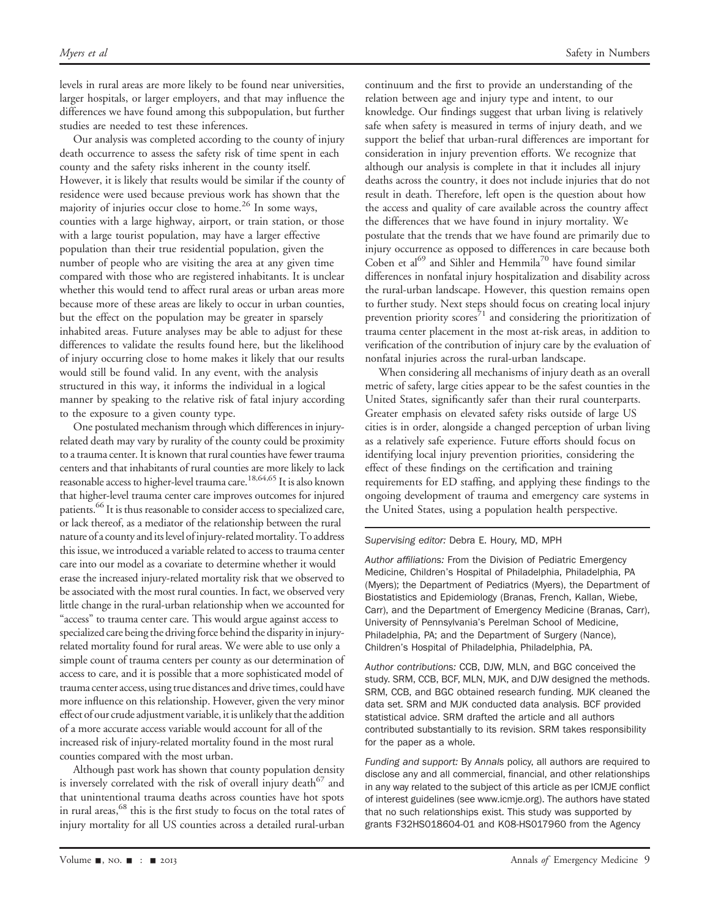levels in rural areas are more likely to be found near universities, larger hospitals, or larger employers, and that may influence the differences we have found among this subpopulation, but further studies are needed to test these inferences.

Our analysis was completed according to the county of injury death occurrence to assess the safety risk of time spent in each county and the safety risks inherent in the county itself. However, it is likely that results would be similar if the county of residence were used because previous work has shown that the majority of injuries occur close to home.<sup>26</sup> In some ways, counties with a large highway, airport, or train station, or those with a large tourist population, may have a larger effective population than their true residential population, given the number of people who are visiting the area at any given time compared with those who are registered inhabitants. It is unclear whether this would tend to affect rural areas or urban areas more because more of these areas are likely to occur in urban counties, but the effect on the population may be greater in sparsely inhabited areas. Future analyses may be able to adjust for these differences to validate the results found here, but the likelihood of injury occurring close to home makes it likely that our results would still be found valid. In any event, with the analysis structured in this way, it informs the individual in a logical manner by speaking to the relative risk of fatal injury according to the exposure to a given county type.

One postulated mechanism through which differences in injuryrelated death may vary by rurality of the county could be proximity to a trauma center. It is known that rural counties have fewer trauma centers and that inhabitants of rural counties are more likely to lack reasonable access to higher-level trauma care.18,64,65 It is also known that higher-level trauma center care improves outcomes for injured patients.<sup>66</sup> It is thus reasonable to consider access to specialized care, or lack thereof, as a mediator of the relationship between the rural nature of a county and its level of injury-related mortality. To address this issue, we introduced a variable related to access to trauma center care into our model as a covariate to determine whether it would erase the increased injury-related mortality risk that we observed to be associated with the most rural counties. In fact, we observed very little change in the rural-urban relationship when we accounted for "access" to trauma center care. This would argue against access to specialized care being the driving force behind the disparity in injuryrelated mortality found for rural areas. We were able to use only a simple count of trauma centers per county as our determination of access to care, and it is possible that a more sophisticated model of trauma center access, using true distances and drive times, could have more influence on this relationship. However, given the very minor effect of our crude adjustment variable, it is unlikely that the addition of a more accurate access variable would account for all of the increased risk of injury-related mortality found in the most rural counties compared with the most urban.

Although past work has shown that county population density is inversely correlated with the risk of overall injury death<sup>67</sup> and that unintentional trauma deaths across counties have hot spots in rural areas,  $68$  this is the first study to focus on the total rates of injury mortality for all US counties across a detailed rural-urban

continuum and the first to provide an understanding of the relation between age and injury type and intent, to our knowledge. Our findings suggest that urban living is relatively safe when safety is measured in terms of injury death, and we support the belief that urban-rural differences are important for consideration in injury prevention efforts. We recognize that although our analysis is complete in that it includes all injury deaths across the country, it does not include injuries that do not result in death. Therefore, left open is the question about how the access and quality of care available across the country affect the differences that we have found in injury mortality. We postulate that the trends that we have found are primarily due to injury occurrence as opposed to differences in care because both Coben et al<sup>69</sup> and Sihler and Hemmila<sup>70</sup> have found similar differences in nonfatal injury hospitalization and disability across the rural-urban landscape. However, this question remains open to further study. Next steps should focus on creating local injury prevention priority scores<sup>71</sup> and considering the prioritization of trauma center placement in the most at-risk areas, in addition to verification of the contribution of injury care by the evaluation of nonfatal injuries across the rural-urban landscape.

When considering all mechanisms of injury death as an overall metric of safety, large cities appear to be the safest counties in the United States, significantly safer than their rural counterparts. Greater emphasis on elevated safety risks outside of large US cities is in order, alongside a changed perception of urban living as a relatively safe experience. Future efforts should focus on identifying local injury prevention priorities, considering the effect of these findings on the certification and training requirements for ED staffing, and applying these findings to the ongoing development of trauma and emergency care systems in the United States, using a population health perspective.

#### Supervising editor: Debra E. Houry, MD, MPH

Author affiliations: From the Division of Pediatric Emergency Medicine, Children's Hospital of Philadelphia, Philadelphia, PA (Myers); the Department of Pediatrics (Myers), the Department of Biostatistics and Epidemiology (Branas, French, Kallan, Wiebe, Carr), and the Department of Emergency Medicine (Branas, Carr), University of Pennsylvania's Perelman School of Medicine, Philadelphia, PA; and the Department of Surgery (Nance), Children's Hospital of Philadelphia, Philadelphia, PA.

Author contributions: CCB, DJW, MLN, and BGC conceived the study. SRM, CCB, BCF, MLN, MJK, and DJW designed the methods. SRM, CCB, and BGC obtained research funding. MJK cleaned the data set. SRM and MJK conducted data analysis. BCF provided statistical advice. SRM drafted the article and all authors contributed substantially to its revision. SRM takes responsibility for the paper as a whole.

Funding and support: By Annals policy, all authors are required to disclose any and all commercial, financial, and other relationships in any way related to the subject of this article as per ICMJE conflict of interest guidelines (see www.icmje.org). The authors have stated that no such relationships exist. This study was supported by grants F32HS018604-01 and K08-HS017960 from the Agency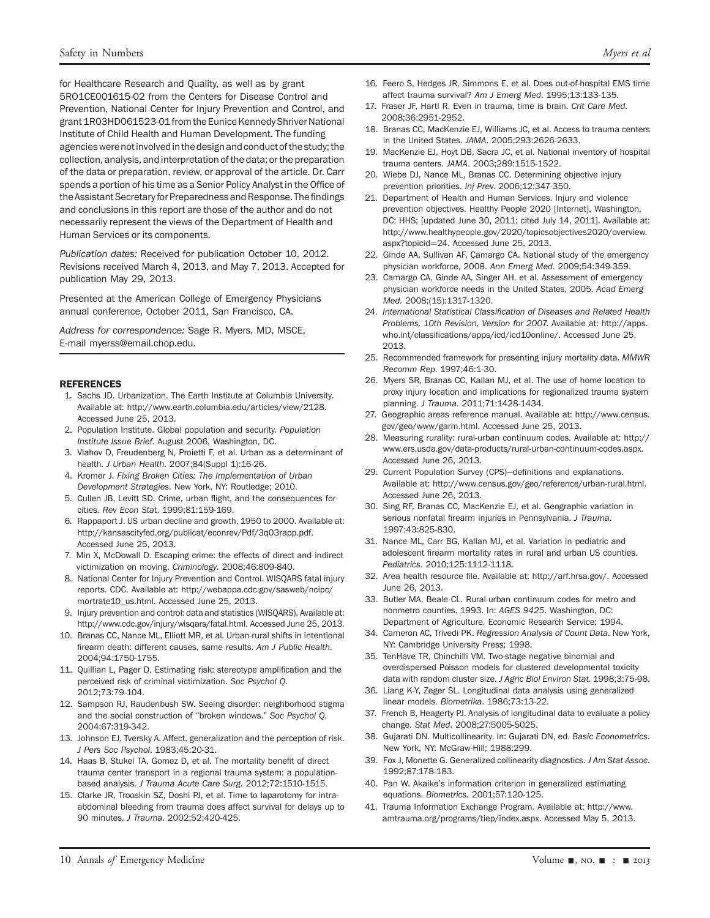for Healthcare Research and Quality, as well as by grant 5RO1CE001615-02 from the Centers for Disease Control and Prevention, National Center for Injury Prevention and Control, and grant 1R03HD061523-01 from the Eunice Kennedy Shriver National Institute of Child Health and Human Development. The funding agencieswere not involved in the design and conduct of the study; the collection, analysis, and interpretation of the data; or the preparation of the data or preparation, review, or approval of the article. Dr. Carr spends a portion of his time as a Senior Policy Analyst in the Office of the Assistant Secretaryfor Preparedness and Response.The findings and conclusions in this report are those of the author and do not necessarily represent the views of the Department of Health and Human Services or its components.

Publication dates: Received for publication October 10, 2012. Revisions received March 4, 2013, and May 7, 2013. Accepted for publication May 29, 2013.

Presented at the American College of Emergency Physicians annual conference, October 2011, San Francisco, CA.

Address for correspondence: Sage R. Myers, MD, MSCE, E-mail myerss@email.chop.edu.

#### REFERENCES

- 1. Sachs JD. Urbanization. The Earth Institute at Columbia University. Available at: http://www.earth.columbia.edu/articles/view/2128. Accessed June 25, 2013.
- 2. Population Institute. Global population and security. Population Institute Issue Brief. August 2006, Washington, DC.
- 3. Vlahov D, Freudenberg N, Proietti F, et al. Urban as a determinant of health. J Urban Health. 2007;84(Suppl 1):16-26.
- 4. Kromer J. Fixing Broken Cities: The Implementation of Urban Development Strategies. New York, NY: Routledge; 2010.
- 5. Cullen JB, Levitt SD. Crime, urban flight, and the consequences for cities. Rev Econ Stat. 1999;81:159-169.
- 6. Rappaport J. US urban decline and growth, 1950 to 2000. Available at: http://kansascityfed.org/publicat/econrev/Pdf/3q03rapp.pdf. Accessed June 25, 2013.
- 7. Min X, McDowall D. Escaping crime: the effects of direct and indirect victimization on moving. Criminology. 2008;46:809-840.
- 8. National Center for Injury Prevention and Control. WISQARS fatal injury reports. CDC. Available at: http://webappa.cdc.gov/sasweb/ncipc/ mortrate10\_us.html. Accessed June 25, 2013.
- 9. Injury prevention and control: data and statistics (WISQARS). Available at: http://www.cdc.gov/injury/wisqars/fatal.html. Accessed June 25, 2013.
- 10. Branas CC, Nance ML, Elliott MR, et al. Urban-rural shifts in intentional firearm death: different causes, same results. Am J Public Health. 2004;94:1750-1755.
- 11. Quillian L, Pager D. Estimating risk: stereotype amplification and the perceived risk of criminal victimization. Soc Psychol Q. 2012;73:79-104.
- 12. Sampson RJ, Raudenbush SW. Seeing disorder: neighborhood stigma and the social construction of "broken windows." Soc Psychol Q. 2004;67:319-342.
- 13. Johnson EJ, Tversky A. Affect, generalization and the perception of risk. J Pers Soc Psychol. 1983;45:20-31.
- 14. Haas B, Stukel TA, Gomez D, et al. The mortality benefit of direct trauma center transport in a regional trauma system: a populationbased analysis. J Trauma Acute Care Surg. 2012;72:1510-1515.
- 15. Clarke JR, Trooskin SZ, Doshi PJ, et al. Time to laparotomy for intraabdominal bleeding from trauma does affect survival for delays up to 90 minutes. J Trauma. 2002;52:420-425.
- 16. Feero S, Hedges JR, Simmons E, et al. Does out-of-hospital EMS time affect trauma survival? Am J Emerg Med. 1995;13:133-135.
- 17. Fraser JF, Hartl R. Even in trauma, time is brain. Crit Care Med. 2008;36:2951-2952.
- 18. Branas CC, MacKenzie EJ, Williams JC, et al. Access to trauma centers in the United States. JAMA. 2005;293:2626-2633.
- 19. MacKenzie EJ, Hoyt DB, Sacra JC, et al. National inventory of hospital trauma centers. JAMA. 2003;289:1515-1522.
- 20. Wiebe DJ, Nance ML, Branas CC. Determining objective injury prevention priorities. Inj Prev. 2006;12:347-350.
- 21. Department of Health and Human Services. Injury and violence prevention objectives. Healthy People 2020 [Internet]. Washington, DC: HHS; [updated June 30, 2011; cited July 14, 2011]. Available at: http://www.healthypeople.gov/2020/topicsobjectives2020/overview. aspx?topicid=24. Accessed June 25, 2013.
- 22. Ginde AA, Sullivan AF, Camargo CA. National study of the emergency physician workforce, 2008. Ann Emerg Med. 2009;54:349-359.
- 23. Camargo CA, Ginde AA, Singer AH, et al. Assessment of emergency physician workforce needs in the United States, 2005. Acad Emerg Med. 2008;(15):1317-1320.
- 24. International Statistical Classification of Diseases and Related Health Problems, 10th Revision, Version for 2007. Available at: http://apps. who.int/classifications/apps/icd/icd10online/. Accessed June 25, 2013.
- 25. Recommended framework for presenting injury mortality data. MMWR Recomm Rep. 1997;46:1-30.
- 26. Myers SR, Branas CC, Kallan MJ, et al. The use of home location to proxy injury location and implications for regionalized trauma system planning. J Trauma. 2011;71:1428-1434.
- 27. Geographic areas reference manual. Available at: http://www.census. gov/geo/www/garm.html. Accessed June 25, 2013.
- 28. Measuring rurality: rural-urban continuum codes. Available at: http:// www.ers.usda.gov/data-products/rural-urban-continuum-codes.aspx. Accessed June 26, 2013.
- 29. Current Population Survey (CPS)—definitions and explanations. Available at: http://www.census.gov/geo/reference/urban-rural.html. Accessed June 26, 2013.
- 30. Sing RF, Branas CC, MacKenzie EJ, et al. Geographic variation in serious nonfatal firearm injuries in Pennsylvania. J Trauma. 1997;43:825-830.
- 31. Nance ML, Carr BG, Kallan MJ, et al. Variation in pediatric and adolescent firearm mortality rates in rural and urban US counties. Pediatrics. 2010;125:1112-1118.
- 32. Area health resource file. Available at: http://arf.hrsa.gov/. Accessed June 26, 2013.
- 33. Butler MA, Beale CL. Rural-urban continuum codes for metro and nonmetro counties, 1993. In: AGES 9425. Washington, DC: Department of Agriculture, Economic Research Service; 1994.
- 34. Cameron AC, Trivedi PK. Regression Analysis of Count Data. New York, NY: Cambridge University Press; 1998.
- 35. TenHave TR, Chinchilli VM. Two-stage negative binomial and overdispersed Poisson models for clustered developmental toxicity data with random cluster size. J Agric Biol Environ Stat. 1998;3:75-98.
- 36. Liang K-Y, Zeger SL. Longitudinal data analysis using generalized linear models. Biometrika. 1986;73:13-22.
- 37. French B, Heagerty PJ. Analysis of longitudinal data to evaluate a policy change. Stat Med. 2008;27:5005-5025.
- 38. Gujarati DN. Multicollinearity. In: Gujarati DN, ed. Basic Econometrics. New York, NY: McGraw-Hill; 1988:299.
- 39. Fox J, Monette G. Generalized collinearity diagnostics. J Am Stat Assoc. 1992;87:178-183.
- 40. Pan W. Akaike's information criterion in generalized estimating equations. Biometrics. 2001;57:120-125.
- 41. Trauma Information Exchange Program. Available at: http://www. amtrauma.org/programs/tiep/index.aspx. Accessed May 5, 2013.